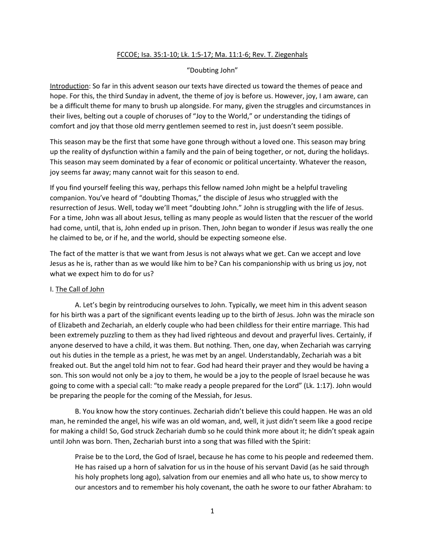## FCCOE; Isa. 35:1-10; Lk. 1:5-17; Ma. 11:1-6; Rev. T. Ziegenhals

## "Doubting John"

Introduction: So far in this advent season our texts have directed us toward the themes of peace and hope. For this, the third Sunday in advent, the theme of joy is before us. However, joy, I am aware, can be a difficult theme for many to brush up alongside. For many, given the struggles and circumstances in their lives, belting out a couple of choruses of "Joy to the World," or understanding the tidings of comfort and joy that those old merry gentlemen seemed to rest in, just doesn't seem possible.

This season may be the first that some have gone through without a loved one. This season may bring up the reality of dysfunction within a family and the pain of being together, or not, during the holidays. This season may seem dominated by a fear of economic or political uncertainty. Whatever the reason, joy seems far away; many cannot wait for this season to end.

If you find yourself feeling this way, perhaps this fellow named John might be a helpful traveling companion. You've heard of "doubting Thomas," the disciple of Jesus who struggled with the resurrection of Jesus. Well, today we'll meet "doubting John." John is struggling with the life of Jesus. For a time, John was all about Jesus, telling as many people as would listen that the rescuer of the world had come, until, that is, John ended up in prison. Then, John began to wonder if Jesus was really the one he claimed to be, or if he, and the world, should be expecting someone else.

The fact of the matter is that we want from Jesus is not always what we get. Can we accept and love Jesus as he is, rather than as we would like him to be? Can his companionship with us bring us joy, not what we expect him to do for us?

### I. The Call of John

A. Let's begin by reintroducing ourselves to John. Typically, we meet him in this advent season for his birth was a part of the significant events leading up to the birth of Jesus. John was the miracle son of Elizabeth and Zechariah, an elderly couple who had been childless for their entire marriage. This had been extremely puzzling to them as they had lived righteous and devout and prayerful lives. Certainly, if anyone deserved to have a child, it was them. But nothing. Then, one day, when Zechariah was carrying out his duties in the temple as a priest, he was met by an angel. Understandably, Zechariah was a bit freaked out. But the angel told him not to fear. God had heard their prayer and they would be having a son. This son would not only be a joy to them, he would be a joy to the people of Israel because he was going to come with a special call: "to make ready a people prepared for the Lord" (Lk. 1:17). John would be preparing the people for the coming of the Messiah, for Jesus.

B. You know how the story continues. Zechariah didn't believe this could happen. He was an old man, he reminded the angel, his wife was an old woman, and, well, it just didn't seem like a good recipe for making a child! So, God struck Zechariah dumb so he could think more about it; he didn't speak again until John was born. Then, Zechariah burst into a song that was filled with the Spirit:

Praise be to the Lord, the God of Israel, because he has come to his people and redeemed them. He has raised up a horn of salvation for us in the house of his servant David (as he said through his holy prophets long ago), salvation from our enemies and all who hate us, to show mercy to our ancestors and to remember his holy covenant, the oath he swore to our father Abraham: to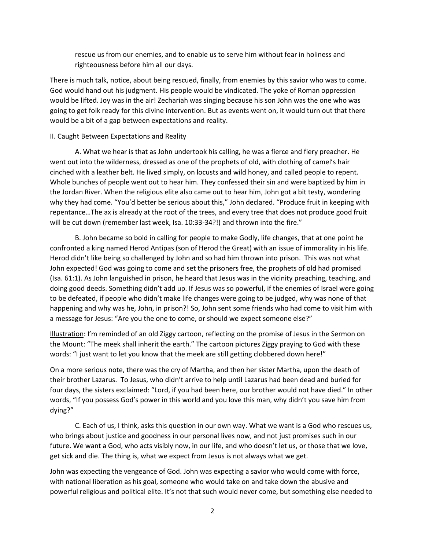rescue us from our enemies, and to enable us to serve him without fear in holiness and righteousness before him all our days.

There is much talk, notice, about being rescued, finally, from enemies by this savior who was to come. God would hand out his judgment. His people would be vindicated. The yoke of Roman oppression would be lifted. Joy was in the air! Zechariah was singing because his son John was the one who was going to get folk ready for this divine intervention. But as events went on, it would turn out that there would be a bit of a gap between expectations and reality.

### II. Caught Between Expectations and Reality

A. What we hear is that as John undertook his calling, he was a fierce and fiery preacher. He went out into the wilderness, dressed as one of the prophets of old, with clothing of camel's hair cinched with a leather belt. He lived simply, on locusts and wild honey, and called people to repent. Whole bunches of people went out to hear him. They confessed their sin and were baptized by him in the Jordan River. When the religious elite also came out to hear him, John got a bit testy, wondering why they had come. "You'd better be serious about this," John declared. "Produce fruit in keeping with repentance…The ax is already at the root of the trees, and every tree that does not produce good fruit will be cut down (remember last week, Isa. 10:33-34?!) and thrown into the fire."

B. John became so bold in calling for people to make Godly, life changes, that at one point he confronted a king named Herod Antipas (son of Herod the Great) with an issue of immorality in his life. Herod didn't like being so challenged by John and so had him thrown into prison. This was not what John expected! God was going to come and set the prisoners free, the prophets of old had promised (Isa. 61:1). As John languished in prison, he heard that Jesus was in the vicinity preaching, teaching, and doing good deeds. Something didn't add up. If Jesus was so powerful, if the enemies of Israel were going to be defeated, if people who didn't make life changes were going to be judged, why was none of that happening and why was he, John, in prison?! So, John sent some friends who had come to visit him with a message for Jesus: "Are you the one to come, or should we expect someone else?"

Illustration: I'm reminded of an old Ziggy cartoon, reflecting on the promise of Jesus in the Sermon on the Mount: "The meek shall inherit the earth." The cartoon pictures Ziggy praying to God with these words: "I just want to let you know that the meek are still getting clobbered down here!"

On a more serious note, there was the cry of Martha, and then her sister Martha, upon the death of their brother Lazarus. To Jesus, who didn't arrive to help until Lazarus had been dead and buried for four days, the sisters exclaimed: "Lord, if you had been here, our brother would not have died." In other words, "If you possess God's power in this world and you love this man, why didn't you save him from dying?"

C. Each of us, I think, asks this question in our own way. What we want is a God who rescues us, who brings about justice and goodness in our personal lives now, and not just promises such in our future. We want a God, who acts visibly now, in our life, and who doesn't let us, or those that we love, get sick and die. The thing is, what we expect from Jesus is not always what we get.

John was expecting the vengeance of God. John was expecting a savior who would come with force, with national liberation as his goal, someone who would take on and take down the abusive and powerful religious and political elite. It's not that such would never come, but something else needed to